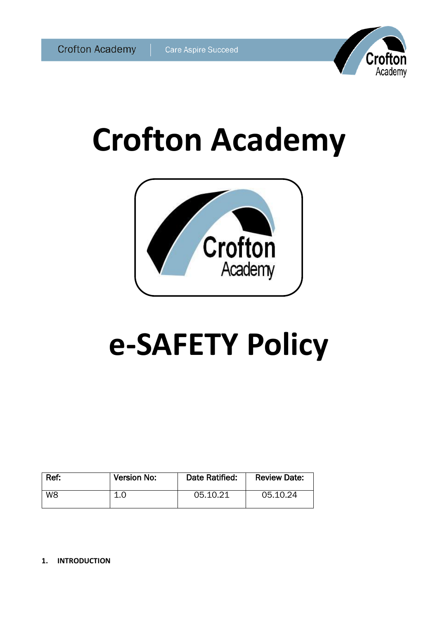

# **Crofton Academy**



# **e-SAFETY Policy**

| Ref:           | Version No: | Date Ratified: | <b>Review Date:</b> |
|----------------|-------------|----------------|---------------------|
| W <sub>8</sub> | л           | 05.10.21       | 05.10.24            |

**1. INTRODUCTION**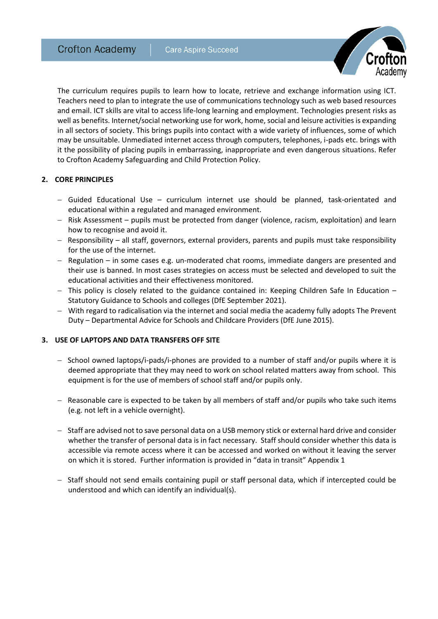

The curriculum requires pupils to learn how to locate, retrieve and exchange information using ICT. Teachers need to plan to integrate the use of communications technology such as web based resources and email. ICT skills are vital to access life-long learning and employment. Technologies present risks as well as benefits. Internet/social networking use for work, home, social and leisure activities is expanding in all sectors of society. This brings pupils into contact with a wide variety of influences, some of which may be unsuitable. Unmediated internet access through computers, telephones, i-pads etc. brings with it the possibility of placing pupils in embarrassing, inappropriate and even dangerous situations. Refer to Crofton Academy Safeguarding and Child Protection Policy.

# **2. CORE PRINCIPLES**

- $-$  Guided Educational Use curriculum internet use should be planned, task-orientated and educational within a regulated and managed environment.
- Risk Assessment pupils must be protected from danger (violence, racism, exploitation) and learn how to recognise and avoid it.
- Responsibility all staff, governors, external providers, parents and pupils must take responsibility for the use of the internet.
- Regulation in some cases e.g. un-moderated chat rooms, immediate dangers are presented and their use is banned. In most cases strategies on access must be selected and developed to suit the educational activities and their effectiveness monitored.
- $-$  This policy is closely related to the guidance contained in: Keeping Children Safe In Education  $-$ Statutory Guidance to Schools and colleges (DfE September 2021).
- With regard to radicalisation via the internet and social media the academy fully adopts The Prevent Duty – Departmental Advice for Schools and Childcare Providers (DfE June 2015).

# **3. USE OF LAPTOPS AND DATA TRANSFERS OFF SITE**

- $-$  School owned laptops/i-pads/i-phones are provided to a number of staff and/or pupils where it is deemed appropriate that they may need to work on school related matters away from school. This equipment is for the use of members of school staff and/or pupils only.
- $-$  Reasonable care is expected to be taken by all members of staff and/or pupils who take such items (e.g. not left in a vehicle overnight).
- Staff are advised not to save personal data on a USB memory stick or external hard drive and consider whether the transfer of personal data is in fact necessary. Staff should consider whether this data is accessible via remote access where it can be accessed and worked on without it leaving the server on which it is stored. Further information is provided in "data in transit" Appendix 1
- $-$  Staff should not send emails containing pupil or staff personal data, which if intercepted could be understood and which can identify an individual(s).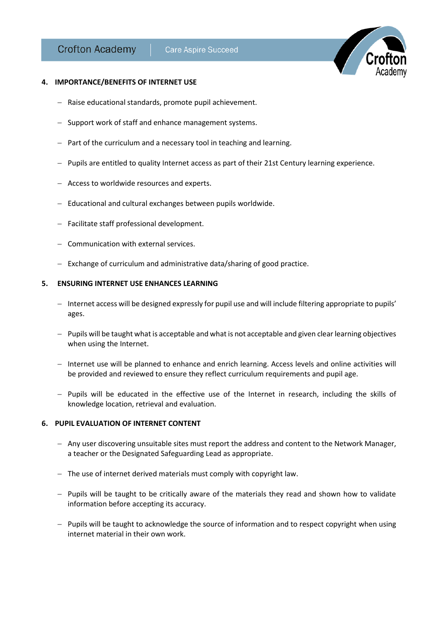

#### **4. IMPORTANCE/BENEFITS OF INTERNET USE**

- Raise educational standards, promote pupil achievement.
- Support work of staff and enhance management systems.
- $-$  Part of the curriculum and a necessary tool in teaching and learning.
- $-$  Pupils are entitled to quality Internet access as part of their 21st Century learning experience.
- Access to worldwide resources and experts.
- $-$  Educational and cultural exchanges between pupils worldwide.
- Facilitate staff professional development.
- Communication with external services.
- Exchange of curriculum and administrative data/sharing of good practice.

#### **5. ENSURING INTERNET USE ENHANCES LEARNING**

- Internet access will be designed expressly for pupil use and will include filtering appropriate to pupils' ages.
- $P$  Pupils will be taught what is acceptable and what is not acceptable and given clear learning objectives when using the Internet.
- Internet use will be planned to enhance and enrich learning. Access levels and online activities will be provided and reviewed to ensure they reflect curriculum requirements and pupil age.
- Pupils will be educated in the effective use of the Internet in research, including the skills of knowledge location, retrieval and evaluation.

# **6. PUPIL EVALUATION OF INTERNET CONTENT**

- Any user discovering unsuitable sites must report the address and content to the Network Manager, a teacher or the Designated Safeguarding Lead as appropriate.
- The use of internet derived materials must comply with copyright law.
- Pupils will be taught to be critically aware of the materials they read and shown how to validate information before accepting its accuracy.
- Pupils will be taught to acknowledge the source of information and to respect copyright when using internet material in their own work.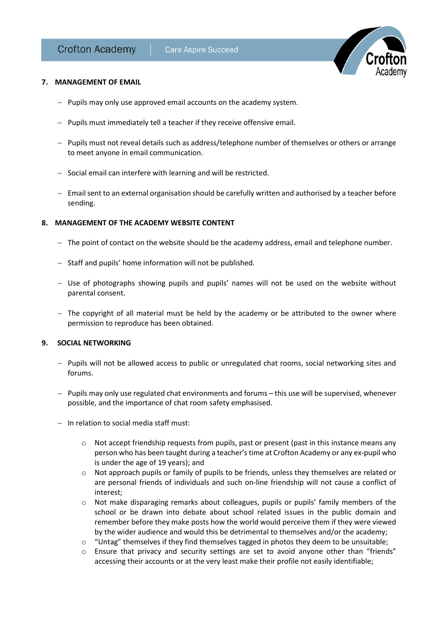

# **7. MANAGEMENT OF EMAIL**

- $-$  Pupils may only use approved email accounts on the academy system.
- Pupils must immediately tell a teacher if they receive offensive email.
- Pupils must not reveal details such as address/telephone number of themselves or others or arrange to meet anyone in email communication.
- Social email can interfere with learning and will be restricted.
- $-$  Email sent to an external organisation should be carefully written and authorised by a teacher before sending.

# **8. MANAGEMENT OF THE ACADEMY WEBSITE CONTENT**

- $-$  The point of contact on the website should be the academy address, email and telephone number.
- Staff and pupils' home information will not be published.
- Use of photographs showing pupils and pupils' names will not be used on the website without parental consent.
- $-$  The copyright of all material must be held by the academy or be attributed to the owner where permission to reproduce has been obtained.

# **9. SOCIAL NETWORKING**

- Pupils will not be allowed access to public or unregulated chat rooms, social networking sites and forums.
- $-$  Pupils may only use regulated chat environments and forums this use will be supervised, whenever possible, and the importance of chat room safety emphasised.
- $-$  In relation to social media staff must:
	- $\circ$  Not accept friendship requests from pupils, past or present (past in this instance means any person who has been taught during a teacher's time at Crofton Academy or any ex-pupil who is under the age of 19 years); and
	- o Not approach pupils or family of pupils to be friends, unless they themselves are related or are personal friends of individuals and such on-line friendship will not cause a conflict of interest;
	- o Not make disparaging remarks about colleagues, pupils or pupils' family members of the school or be drawn into debate about school related issues in the public domain and remember before they make posts how the world would perceive them if they were viewed by the wider audience and would this be detrimental to themselves and/or the academy;
	- $\circ$  "Untag" themselves if they find themselves tagged in photos they deem to be unsuitable;
	- $\circ$  Ensure that privacy and security settings are set to avoid anyone other than "friends" accessing their accounts or at the very least make their profile not easily identifiable;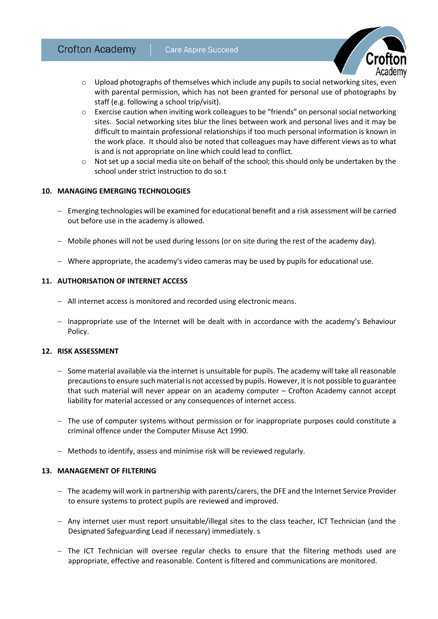

- $\circ$  Upload photographs of themselves which include any pupils to social networking sites, even with parental permission, which has not been granted for personal use of photographs by staff (e.g. following a school trip/visit).
- o Exercise caution when inviting work colleagues to be "friends" on personal social networking sites. Social networking sites blur the lines between work and personal lives and it may be difficult to maintain professional relationships if too much personal information is known in the work place. It should also be noted that colleagues may have different views as to what is and is not appropriate on line which could lead to conflict.
- $\circ$  Not set up a social media site on behalf of the school; this should only be undertaken by the school under strict instruction to do so.t

# **10. MANAGING EMERGING TECHNOLOGIES**

- Emerging technologies will be examined for educational benefit and a risk assessment will be carried out before use in the academy is allowed.
- Mobile phones will not be used during lessons (or on site during the rest of the academy day).
- Where appropriate, the academy's video cameras may be used by pupils for educational use.

# **11. AUTHORISATION OF INTERNET ACCESS**

- All internet access is monitored and recorded using electronic means.
- $-$  Inappropriate use of the Internet will be dealt with in accordance with the academy's Behaviour Policy.

# **12. RISK ASSESSMENT**

- $-$  Some material available via the internet is unsuitable for pupils. The academy will take all reasonable precautions to ensure such material is not accessed by pupils. However, it is not possible to guarantee that such material will never appear on an academy computer – Crofton Academy cannot accept liability for material accessed or any consequences of internet access.
- The use of computer systems without permission or for inappropriate purposes could constitute a criminal offence under the Computer Misuse Act 1990.
- Methods to identify, assess and minimise risk will be reviewed regularly.

# **13. MANAGEMENT OF FILTERING**

- The academy will work in partnership with parents/carers, the DFE and the Internet Service Provider to ensure systems to protect pupils are reviewed and improved.
- Any internet user must report unsuitable/illegal sites to the class teacher, ICT Technician (and the Designated Safeguarding Lead if necessary) immediately. s
- The ICT Technician will oversee regular checks to ensure that the filtering methods used are appropriate, effective and reasonable. Content is filtered and communications are monitored.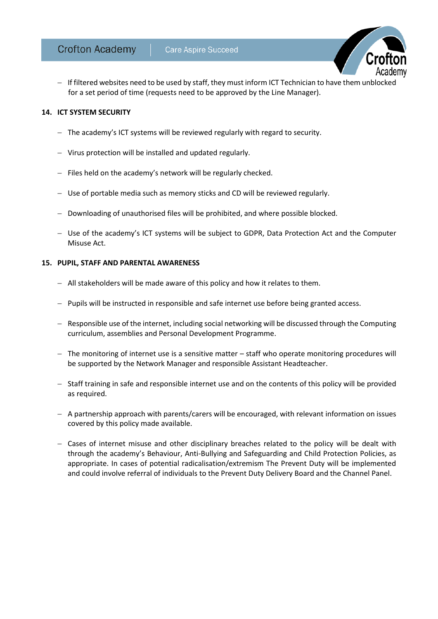

# **14. ICT SYSTEM SECURITY**

- The academy's ICT systems will be reviewed regularly with regard to security.
- Virus protection will be installed and updated regularly.
- $-$  Files held on the academy's network will be regularly checked.
- Use of portable media such as memory sticks and CD will be reviewed regularly.
- Downloading of unauthorised files will be prohibited, and where possible blocked.
- Use of the academy's ICT systems will be subject to GDPR, Data Protection Act and the Computer Misuse Act.

### **15. PUPIL, STAFF AND PARENTAL AWARENESS**

- All stakeholders will be made aware of this policy and how it relates to them.
- Pupils will be instructed in responsible and safe internet use before being granted access.
- $-$  Responsible use of the internet, including social networking will be discussed through the Computing curriculum, assemblies and Personal Development Programme.
- $-$  The monitoring of internet use is a sensitive matter  $-$  staff who operate monitoring procedures will be supported by the Network Manager and responsible Assistant Headteacher.
- Staff training in safe and responsible internet use and on the contents of this policy will be provided as required.
- A partnership approach with parents/carers will be encouraged, with relevant information on issues covered by this policy made available.
- Cases of internet misuse and other disciplinary breaches related to the policy will be dealt with through the academy's Behaviour, Anti-Bullying and Safeguarding and Child Protection Policies, as appropriate. In cases of potential radicalisation/extremism The Prevent Duty will be implemented and could involve referral of individuals to the Prevent Duty Delivery Board and the Channel Panel.